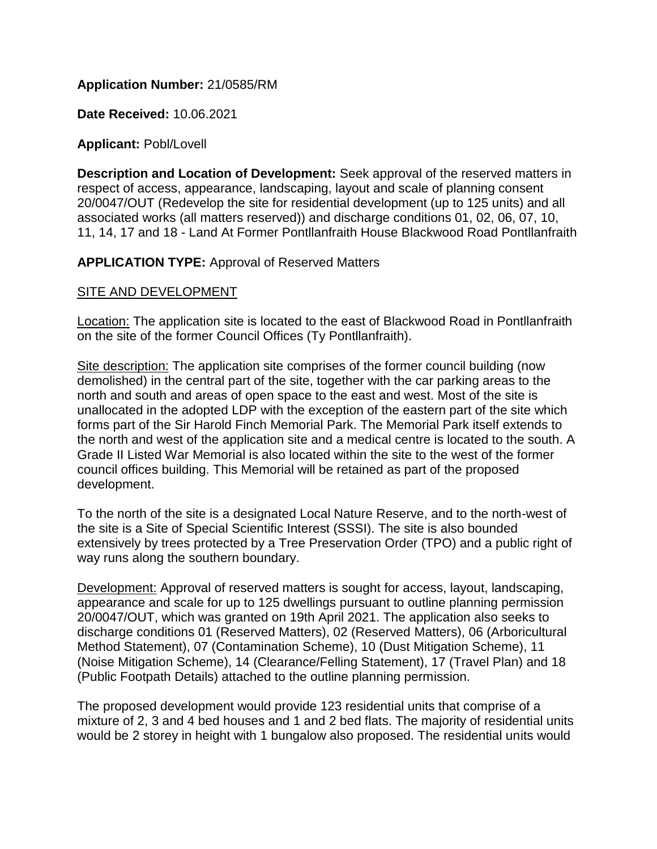# **Application Number:** 21/0585/RM

**Date Received:** 10.06.2021

**Applicant:** Pobl/Lovell

**Description and Location of Development:** Seek approval of the reserved matters in respect of access, appearance, landscaping, layout and scale of planning consent 20/0047/OUT (Redevelop the site for residential development (up to 125 units) and all associated works (all matters reserved)) and discharge conditions 01, 02, 06, 07, 10, 11, 14, 17 and 18 - Land At Former Pontllanfraith House Blackwood Road Pontllanfraith

# **APPLICATION TYPE:** Approval of Reserved Matters

# SITE AND DEVELOPMENT

Location: The application site is located to the east of Blackwood Road in Pontllanfraith on the site of the former Council Offices (Ty Pontllanfraith).

Site description: The application site comprises of the former council building (now demolished) in the central part of the site, together with the car parking areas to the north and south and areas of open space to the east and west. Most of the site is unallocated in the adopted LDP with the exception of the eastern part of the site which forms part of the Sir Harold Finch Memorial Park. The Memorial Park itself extends to the north and west of the application site and a medical centre is located to the south. A Grade II Listed War Memorial is also located within the site to the west of the former council offices building. This Memorial will be retained as part of the proposed development.

To the north of the site is a designated Local Nature Reserve, and to the north-west of the site is a Site of Special Scientific Interest (SSSI). The site is also bounded extensively by trees protected by a Tree Preservation Order (TPO) and a public right of way runs along the southern boundary.

Development: Approval of reserved matters is sought for access, layout, landscaping, appearance and scale for up to 125 dwellings pursuant to outline planning permission 20/0047/OUT, which was granted on 19th April 2021. The application also seeks to discharge conditions 01 (Reserved Matters), 02 (Reserved Matters), 06 (Arboricultural Method Statement), 07 (Contamination Scheme), 10 (Dust Mitigation Scheme), 11 (Noise Mitigation Scheme), 14 (Clearance/Felling Statement), 17 (Travel Plan) and 18 (Public Footpath Details) attached to the outline planning permission.

The proposed development would provide 123 residential units that comprise of a mixture of 2, 3 and 4 bed houses and 1 and 2 bed flats. The majority of residential units would be 2 storey in height with 1 bungalow also proposed. The residential units would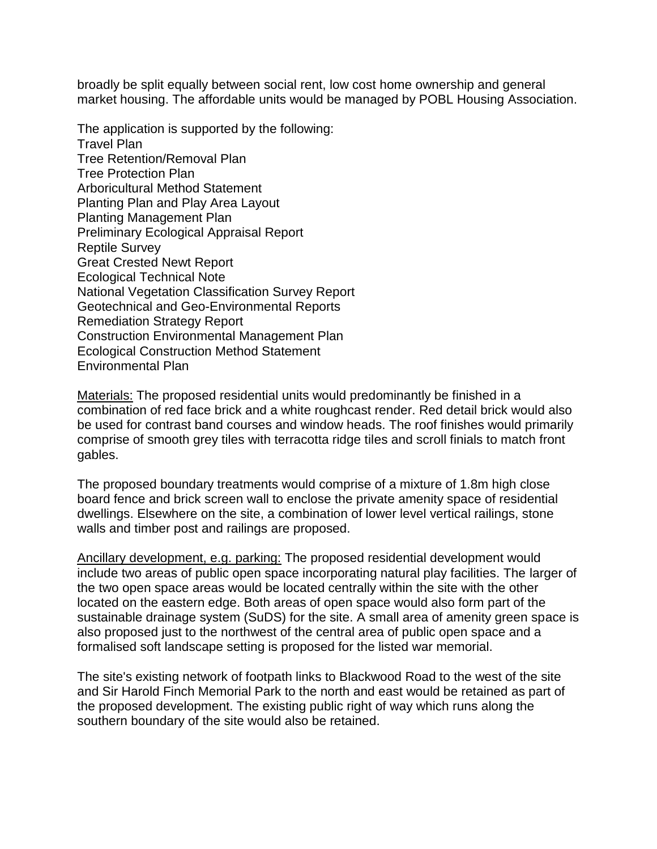broadly be split equally between social rent, low cost home ownership and general market housing. The affordable units would be managed by POBL Housing Association.

The application is supported by the following: Travel Plan Tree Retention/Removal Plan Tree Protection Plan Arboricultural Method Statement Planting Plan and Play Area Layout Planting Management Plan Preliminary Ecological Appraisal Report Reptile Survey Great Crested Newt Report Ecological Technical Note National Vegetation Classification Survey Report Geotechnical and Geo-Environmental Reports Remediation Strategy Report Construction Environmental Management Plan Ecological Construction Method Statement Environmental Plan

Materials: The proposed residential units would predominantly be finished in a combination of red face brick and a white roughcast render. Red detail brick would also be used for contrast band courses and window heads. The roof finishes would primarily comprise of smooth grey tiles with terracotta ridge tiles and scroll finials to match front gables.

The proposed boundary treatments would comprise of a mixture of 1.8m high close board fence and brick screen wall to enclose the private amenity space of residential dwellings. Elsewhere on the site, a combination of lower level vertical railings, stone walls and timber post and railings are proposed.

Ancillary development, e.g. parking: The proposed residential development would include two areas of public open space incorporating natural play facilities. The larger of the two open space areas would be located centrally within the site with the other located on the eastern edge. Both areas of open space would also form part of the sustainable drainage system (SuDS) for the site. A small area of amenity green space is also proposed just to the northwest of the central area of public open space and a formalised soft landscape setting is proposed for the listed war memorial.

The site's existing network of footpath links to Blackwood Road to the west of the site and Sir Harold Finch Memorial Park to the north and east would be retained as part of the proposed development. The existing public right of way which runs along the southern boundary of the site would also be retained.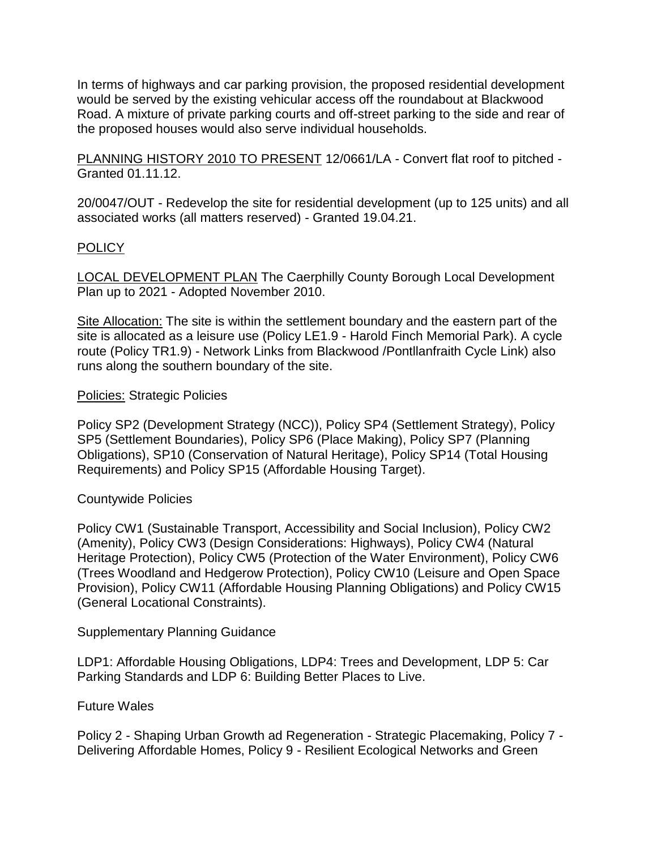In terms of highways and car parking provision, the proposed residential development would be served by the existing vehicular access off the roundabout at Blackwood Road. A mixture of private parking courts and off-street parking to the side and rear of the proposed houses would also serve individual households.

PLANNING HISTORY 2010 TO PRESENT 12/0661/LA - Convert flat roof to pitched - Granted 01.11.12.

20/0047/OUT - Redevelop the site for residential development (up to 125 units) and all associated works (all matters reserved) - Granted 19.04.21.

# **POLICY**

LOCAL DEVELOPMENT PLAN The Caerphilly County Borough Local Development Plan up to 2021 - Adopted November 2010.

Site Allocation: The site is within the settlement boundary and the eastern part of the site is allocated as a leisure use (Policy LE1.9 - Harold Finch Memorial Park). A cycle route (Policy TR1.9) - Network Links from Blackwood /Pontllanfraith Cycle Link) also runs along the southern boundary of the site.

# Policies: Strategic Policies

Policy SP2 (Development Strategy (NCC)), Policy SP4 (Settlement Strategy), Policy SP5 (Settlement Boundaries), Policy SP6 (Place Making), Policy SP7 (Planning Obligations), SP10 (Conservation of Natural Heritage), Policy SP14 (Total Housing Requirements) and Policy SP15 (Affordable Housing Target).

# Countywide Policies

Policy CW1 (Sustainable Transport, Accessibility and Social Inclusion), Policy CW2 (Amenity), Policy CW3 (Design Considerations: Highways), Policy CW4 (Natural Heritage Protection), Policy CW5 (Protection of the Water Environment), Policy CW6 (Trees Woodland and Hedgerow Protection), Policy CW10 (Leisure and Open Space Provision), Policy CW11 (Affordable Housing Planning Obligations) and Policy CW15 (General Locational Constraints).

# Supplementary Planning Guidance

LDP1: Affordable Housing Obligations, LDP4: Trees and Development, LDP 5: Car Parking Standards and LDP 6: Building Better Places to Live.

# Future Wales

Policy 2 - Shaping Urban Growth ad Regeneration - Strategic Placemaking, Policy 7 - Delivering Affordable Homes, Policy 9 - Resilient Ecological Networks and Green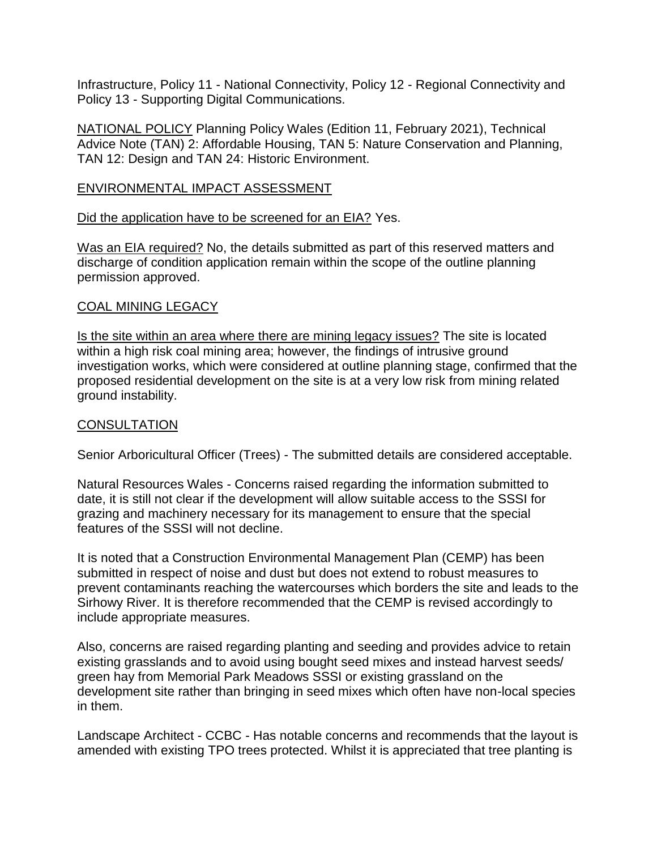Infrastructure, Policy 11 - National Connectivity, Policy 12 - Regional Connectivity and Policy 13 - Supporting Digital Communications.

NATIONAL POLICY Planning Policy Wales (Edition 11, February 2021), Technical Advice Note (TAN) 2: Affordable Housing, TAN 5: Nature Conservation and Planning, TAN 12: Design and TAN 24: Historic Environment.

### ENVIRONMENTAL IMPACT ASSESSMENT

Did the application have to be screened for an EIA? Yes.

Was an EIA required? No, the details submitted as part of this reserved matters and discharge of condition application remain within the scope of the outline planning permission approved.

### COAL MINING LEGACY

Is the site within an area where there are mining legacy issues? The site is located within a high risk coal mining area; however, the findings of intrusive ground investigation works, which were considered at outline planning stage, confirmed that the proposed residential development on the site is at a very low risk from mining related ground instability.

### **CONSULTATION**

Senior Arboricultural Officer (Trees) - The submitted details are considered acceptable.

Natural Resources Wales - Concerns raised regarding the information submitted to date, it is still not clear if the development will allow suitable access to the SSSI for grazing and machinery necessary for its management to ensure that the special features of the SSSI will not decline.

It is noted that a Construction Environmental Management Plan (CEMP) has been submitted in respect of noise and dust but does not extend to robust measures to prevent contaminants reaching the watercourses which borders the site and leads to the Sirhowy River. It is therefore recommended that the CEMP is revised accordingly to include appropriate measures.

Also, concerns are raised regarding planting and seeding and provides advice to retain existing grasslands and to avoid using bought seed mixes and instead harvest seeds/ green hay from Memorial Park Meadows SSSI or existing grassland on the development site rather than bringing in seed mixes which often have non-local species in them.

Landscape Architect - CCBC - Has notable concerns and recommends that the layout is amended with existing TPO trees protected. Whilst it is appreciated that tree planting is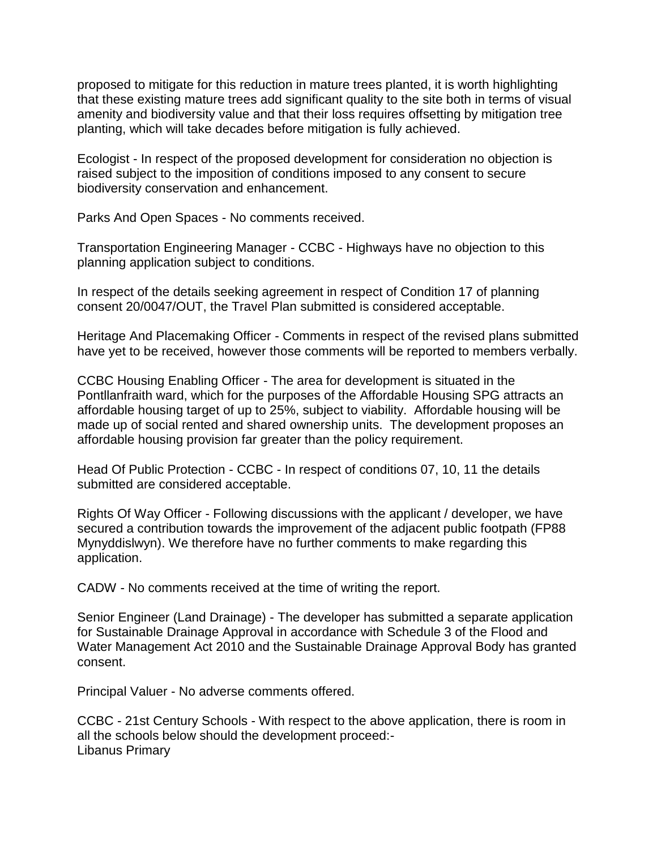proposed to mitigate for this reduction in mature trees planted, it is worth highlighting that these existing mature trees add significant quality to the site both in terms of visual amenity and biodiversity value and that their loss requires offsetting by mitigation tree planting, which will take decades before mitigation is fully achieved.

Ecologist - In respect of the proposed development for consideration no objection is raised subject to the imposition of conditions imposed to any consent to secure biodiversity conservation and enhancement.

Parks And Open Spaces - No comments received.

Transportation Engineering Manager - CCBC - Highways have no objection to this planning application subject to conditions.

In respect of the details seeking agreement in respect of Condition 17 of planning consent 20/0047/OUT, the Travel Plan submitted is considered acceptable.

Heritage And Placemaking Officer - Comments in respect of the revised plans submitted have yet to be received, however those comments will be reported to members verbally.

CCBC Housing Enabling Officer - The area for development is situated in the Pontllanfraith ward, which for the purposes of the Affordable Housing SPG attracts an affordable housing target of up to 25%, subject to viability. Affordable housing will be made up of social rented and shared ownership units. The development proposes an affordable housing provision far greater than the policy requirement.

Head Of Public Protection - CCBC - In respect of conditions 07, 10, 11 the details submitted are considered acceptable.

Rights Of Way Officer - Following discussions with the applicant / developer, we have secured a contribution towards the improvement of the adjacent public footpath (FP88 Mynyddislwyn). We therefore have no further comments to make regarding this application.

CADW - No comments received at the time of writing the report.

Senior Engineer (Land Drainage) - The developer has submitted a separate application for Sustainable Drainage Approval in accordance with Schedule 3 of the Flood and Water Management Act 2010 and the Sustainable Drainage Approval Body has granted consent.

Principal Valuer - No adverse comments offered.

CCBC - 21st Century Schools - With respect to the above application, there is room in all the schools below should the development proceed:- Libanus Primary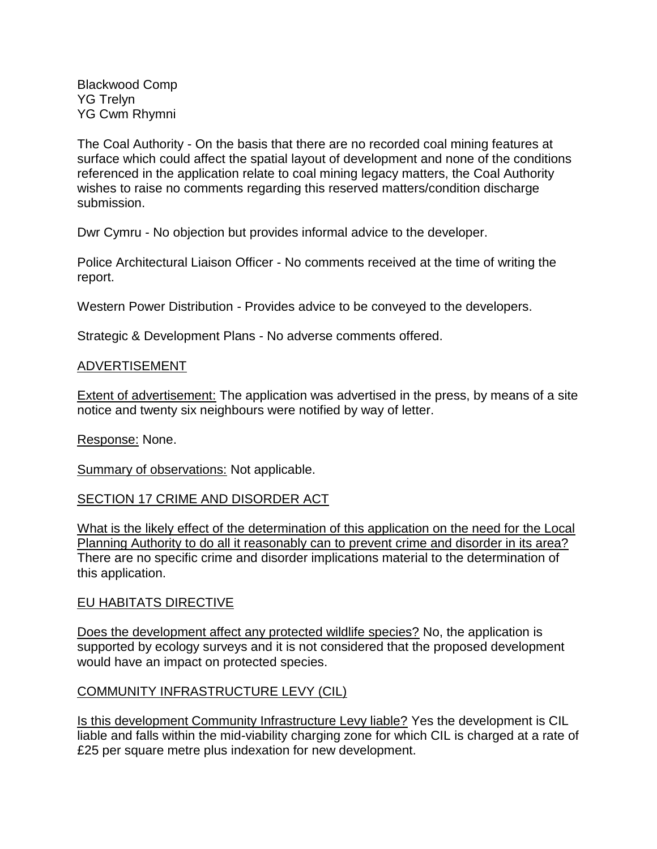Blackwood Comp YG Trelyn YG Cwm Rhymni

The Coal Authority - On the basis that there are no recorded coal mining features at surface which could affect the spatial layout of development and none of the conditions referenced in the application relate to coal mining legacy matters, the Coal Authority wishes to raise no comments regarding this reserved matters/condition discharge submission.

Dwr Cymru - No objection but provides informal advice to the developer.

Police Architectural Liaison Officer - No comments received at the time of writing the report.

Western Power Distribution - Provides advice to be conveyed to the developers.

Strategic & Development Plans - No adverse comments offered.

### ADVERTISEMENT

Extent of advertisement: The application was advertised in the press, by means of a site notice and twenty six neighbours were notified by way of letter.

Response: None.

Summary of observations: Not applicable.

# SECTION 17 CRIME AND DISORDER ACT

What is the likely effect of the determination of this application on the need for the Local Planning Authority to do all it reasonably can to prevent crime and disorder in its area? There are no specific crime and disorder implications material to the determination of this application.

#### EU HABITATS DIRECTIVE

Does the development affect any protected wildlife species? No, the application is supported by ecology surveys and it is not considered that the proposed development would have an impact on protected species.

#### COMMUNITY INFRASTRUCTURE LEVY (CIL)

Is this development Community Infrastructure Levy liable? Yes the development is CIL liable and falls within the mid-viability charging zone for which CIL is charged at a rate of £25 per square metre plus indexation for new development.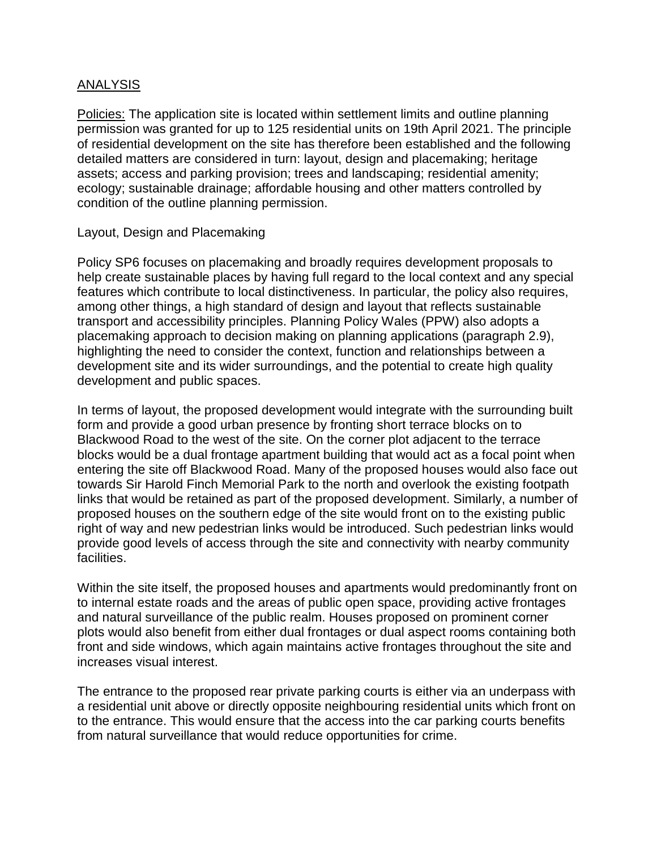### ANALYSIS

Policies: The application site is located within settlement limits and outline planning permission was granted for up to 125 residential units on 19th April 2021. The principle of residential development on the site has therefore been established and the following detailed matters are considered in turn: layout, design and placemaking; heritage assets; access and parking provision; trees and landscaping; residential amenity; ecology; sustainable drainage; affordable housing and other matters controlled by condition of the outline planning permission.

### Layout, Design and Placemaking

Policy SP6 focuses on placemaking and broadly requires development proposals to help create sustainable places by having full regard to the local context and any special features which contribute to local distinctiveness. In particular, the policy also requires, among other things, a high standard of design and layout that reflects sustainable transport and accessibility principles. Planning Policy Wales (PPW) also adopts a placemaking approach to decision making on planning applications (paragraph 2.9), highlighting the need to consider the context, function and relationships between a development site and its wider surroundings, and the potential to create high quality development and public spaces.

In terms of layout, the proposed development would integrate with the surrounding built form and provide a good urban presence by fronting short terrace blocks on to Blackwood Road to the west of the site. On the corner plot adjacent to the terrace blocks would be a dual frontage apartment building that would act as a focal point when entering the site off Blackwood Road. Many of the proposed houses would also face out towards Sir Harold Finch Memorial Park to the north and overlook the existing footpath links that would be retained as part of the proposed development. Similarly, a number of proposed houses on the southern edge of the site would front on to the existing public right of way and new pedestrian links would be introduced. Such pedestrian links would provide good levels of access through the site and connectivity with nearby community facilities.

Within the site itself, the proposed houses and apartments would predominantly front on to internal estate roads and the areas of public open space, providing active frontages and natural surveillance of the public realm. Houses proposed on prominent corner plots would also benefit from either dual frontages or dual aspect rooms containing both front and side windows, which again maintains active frontages throughout the site and increases visual interest.

The entrance to the proposed rear private parking courts is either via an underpass with a residential unit above or directly opposite neighbouring residential units which front on to the entrance. This would ensure that the access into the car parking courts benefits from natural surveillance that would reduce opportunities for crime.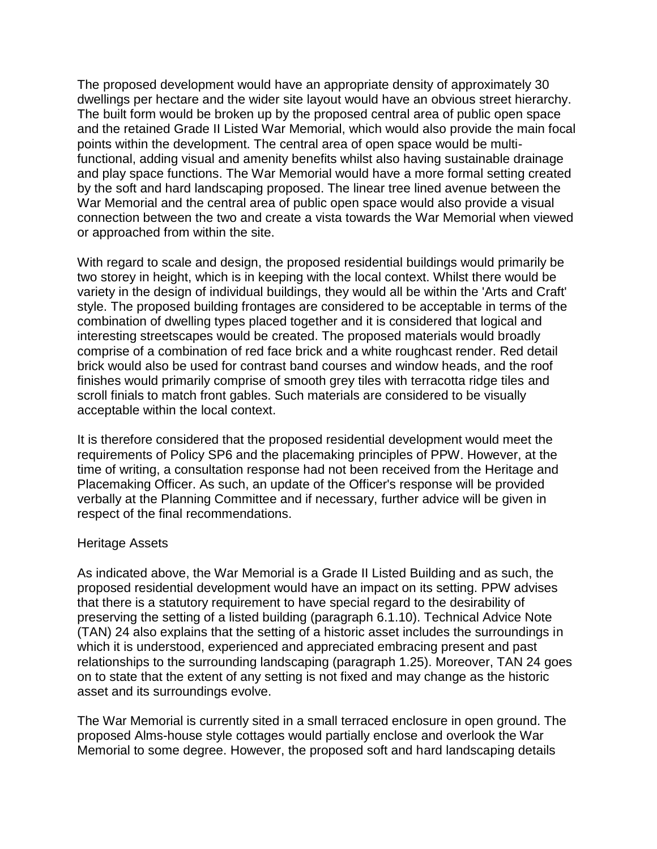The proposed development would have an appropriate density of approximately 30 dwellings per hectare and the wider site layout would have an obvious street hierarchy. The built form would be broken up by the proposed central area of public open space and the retained Grade II Listed War Memorial, which would also provide the main focal points within the development. The central area of open space would be multifunctional, adding visual and amenity benefits whilst also having sustainable drainage and play space functions. The War Memorial would have a more formal setting created by the soft and hard landscaping proposed. The linear tree lined avenue between the War Memorial and the central area of public open space would also provide a visual connection between the two and create a vista towards the War Memorial when viewed or approached from within the site.

With regard to scale and design, the proposed residential buildings would primarily be two storey in height, which is in keeping with the local context. Whilst there would be variety in the design of individual buildings, they would all be within the 'Arts and Craft' style. The proposed building frontages are considered to be acceptable in terms of the combination of dwelling types placed together and it is considered that logical and interesting streetscapes would be created. The proposed materials would broadly comprise of a combination of red face brick and a white roughcast render. Red detail brick would also be used for contrast band courses and window heads, and the roof finishes would primarily comprise of smooth grey tiles with terracotta ridge tiles and scroll finials to match front gables. Such materials are considered to be visually acceptable within the local context.

It is therefore considered that the proposed residential development would meet the requirements of Policy SP6 and the placemaking principles of PPW. However, at the time of writing, a consultation response had not been received from the Heritage and Placemaking Officer. As such, an update of the Officer's response will be provided verbally at the Planning Committee and if necessary, further advice will be given in respect of the final recommendations.

#### Heritage Assets

As indicated above, the War Memorial is a Grade II Listed Building and as such, the proposed residential development would have an impact on its setting. PPW advises that there is a statutory requirement to have special regard to the desirability of preserving the setting of a listed building (paragraph 6.1.10). Technical Advice Note (TAN) 24 also explains that the setting of a historic asset includes the surroundings in which it is understood, experienced and appreciated embracing present and past relationships to the surrounding landscaping (paragraph 1.25). Moreover, TAN 24 goes on to state that the extent of any setting is not fixed and may change as the historic asset and its surroundings evolve.

The War Memorial is currently sited in a small terraced enclosure in open ground. The proposed Alms-house style cottages would partially enclose and overlook the War Memorial to some degree. However, the proposed soft and hard landscaping details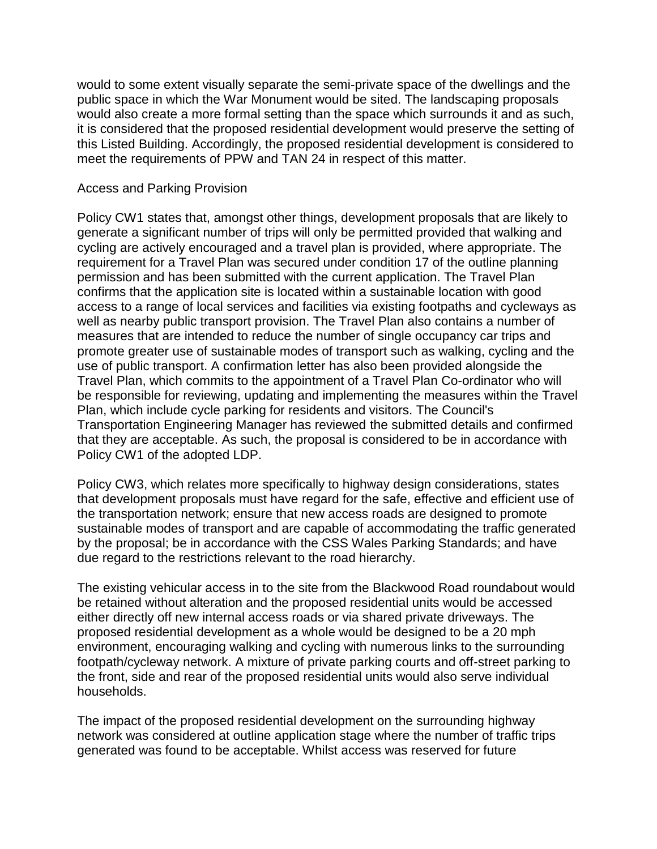would to some extent visually separate the semi-private space of the dwellings and the public space in which the War Monument would be sited. The landscaping proposals would also create a more formal setting than the space which surrounds it and as such, it is considered that the proposed residential development would preserve the setting of this Listed Building. Accordingly, the proposed residential development is considered to meet the requirements of PPW and TAN 24 in respect of this matter.

### Access and Parking Provision

Policy CW1 states that, amongst other things, development proposals that are likely to generate a significant number of trips will only be permitted provided that walking and cycling are actively encouraged and a travel plan is provided, where appropriate. The requirement for a Travel Plan was secured under condition 17 of the outline planning permission and has been submitted with the current application. The Travel Plan confirms that the application site is located within a sustainable location with good access to a range of local services and facilities via existing footpaths and cycleways as well as nearby public transport provision. The Travel Plan also contains a number of measures that are intended to reduce the number of single occupancy car trips and promote greater use of sustainable modes of transport such as walking, cycling and the use of public transport. A confirmation letter has also been provided alongside the Travel Plan, which commits to the appointment of a Travel Plan Co-ordinator who will be responsible for reviewing, updating and implementing the measures within the Travel Plan, which include cycle parking for residents and visitors. The Council's Transportation Engineering Manager has reviewed the submitted details and confirmed that they are acceptable. As such, the proposal is considered to be in accordance with Policy CW1 of the adopted LDP.

Policy CW3, which relates more specifically to highway design considerations, states that development proposals must have regard for the safe, effective and efficient use of the transportation network; ensure that new access roads are designed to promote sustainable modes of transport and are capable of accommodating the traffic generated by the proposal; be in accordance with the CSS Wales Parking Standards; and have due regard to the restrictions relevant to the road hierarchy.

The existing vehicular access in to the site from the Blackwood Road roundabout would be retained without alteration and the proposed residential units would be accessed either directly off new internal access roads or via shared private driveways. The proposed residential development as a whole would be designed to be a 20 mph environment, encouraging walking and cycling with numerous links to the surrounding footpath/cycleway network. A mixture of private parking courts and off-street parking to the front, side and rear of the proposed residential units would also serve individual households.

The impact of the proposed residential development on the surrounding highway network was considered at outline application stage where the number of traffic trips generated was found to be acceptable. Whilst access was reserved for future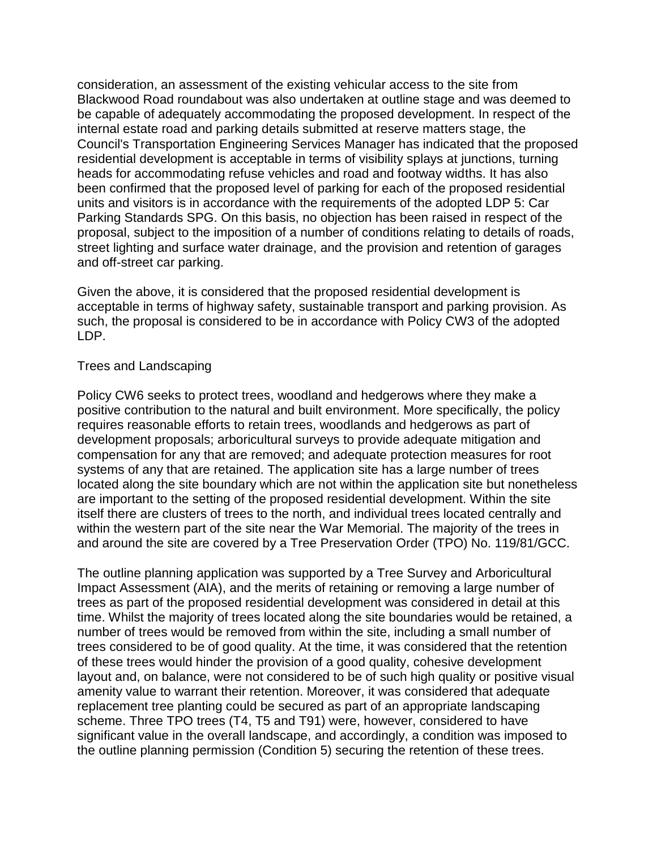consideration, an assessment of the existing vehicular access to the site from Blackwood Road roundabout was also undertaken at outline stage and was deemed to be capable of adequately accommodating the proposed development. In respect of the internal estate road and parking details submitted at reserve matters stage, the Council's Transportation Engineering Services Manager has indicated that the proposed residential development is acceptable in terms of visibility splays at junctions, turning heads for accommodating refuse vehicles and road and footway widths. It has also been confirmed that the proposed level of parking for each of the proposed residential units and visitors is in accordance with the requirements of the adopted LDP 5: Car Parking Standards SPG. On this basis, no objection has been raised in respect of the proposal, subject to the imposition of a number of conditions relating to details of roads, street lighting and surface water drainage, and the provision and retention of garages and off-street car parking.

Given the above, it is considered that the proposed residential development is acceptable in terms of highway safety, sustainable transport and parking provision. As such, the proposal is considered to be in accordance with Policy CW3 of the adopted LDP.

### Trees and Landscaping

Policy CW6 seeks to protect trees, woodland and hedgerows where they make a positive contribution to the natural and built environment. More specifically, the policy requires reasonable efforts to retain trees, woodlands and hedgerows as part of development proposals; arboricultural surveys to provide adequate mitigation and compensation for any that are removed; and adequate protection measures for root systems of any that are retained. The application site has a large number of trees located along the site boundary which are not within the application site but nonetheless are important to the setting of the proposed residential development. Within the site itself there are clusters of trees to the north, and individual trees located centrally and within the western part of the site near the War Memorial. The majority of the trees in and around the site are covered by a Tree Preservation Order (TPO) No. 119/81/GCC.

The outline planning application was supported by a Tree Survey and Arboricultural Impact Assessment (AIA), and the merits of retaining or removing a large number of trees as part of the proposed residential development was considered in detail at this time. Whilst the majority of trees located along the site boundaries would be retained, a number of trees would be removed from within the site, including a small number of trees considered to be of good quality. At the time, it was considered that the retention of these trees would hinder the provision of a good quality, cohesive development layout and, on balance, were not considered to be of such high quality or positive visual amenity value to warrant their retention. Moreover, it was considered that adequate replacement tree planting could be secured as part of an appropriate landscaping scheme. Three TPO trees (T4, T5 and T91) were, however, considered to have significant value in the overall landscape, and accordingly, a condition was imposed to the outline planning permission (Condition 5) securing the retention of these trees.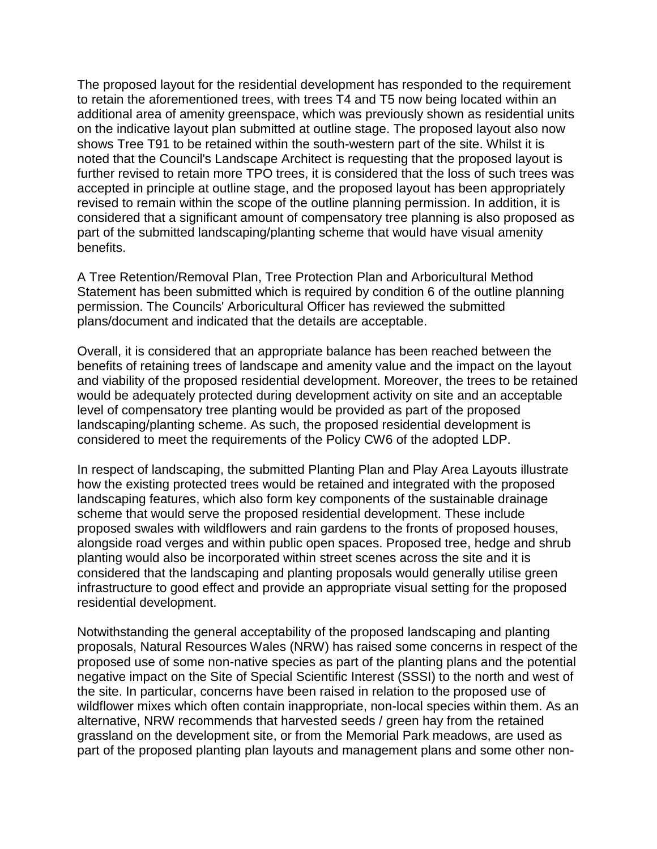The proposed layout for the residential development has responded to the requirement to retain the aforementioned trees, with trees T4 and T5 now being located within an additional area of amenity greenspace, which was previously shown as residential units on the indicative layout plan submitted at outline stage. The proposed layout also now shows Tree T91 to be retained within the south-western part of the site. Whilst it is noted that the Council's Landscape Architect is requesting that the proposed layout is further revised to retain more TPO trees, it is considered that the loss of such trees was accepted in principle at outline stage, and the proposed layout has been appropriately revised to remain within the scope of the outline planning permission. In addition, it is considered that a significant amount of compensatory tree planning is also proposed as part of the submitted landscaping/planting scheme that would have visual amenity benefits.

A Tree Retention/Removal Plan, Tree Protection Plan and Arboricultural Method Statement has been submitted which is required by condition 6 of the outline planning permission. The Councils' Arboricultural Officer has reviewed the submitted plans/document and indicated that the details are acceptable.

Overall, it is considered that an appropriate balance has been reached between the benefits of retaining trees of landscape and amenity value and the impact on the layout and viability of the proposed residential development. Moreover, the trees to be retained would be adequately protected during development activity on site and an acceptable level of compensatory tree planting would be provided as part of the proposed landscaping/planting scheme. As such, the proposed residential development is considered to meet the requirements of the Policy CW6 of the adopted LDP.

In respect of landscaping, the submitted Planting Plan and Play Area Layouts illustrate how the existing protected trees would be retained and integrated with the proposed landscaping features, which also form key components of the sustainable drainage scheme that would serve the proposed residential development. These include proposed swales with wildflowers and rain gardens to the fronts of proposed houses, alongside road verges and within public open spaces. Proposed tree, hedge and shrub planting would also be incorporated within street scenes across the site and it is considered that the landscaping and planting proposals would generally utilise green infrastructure to good effect and provide an appropriate visual setting for the proposed residential development.

Notwithstanding the general acceptability of the proposed landscaping and planting proposals, Natural Resources Wales (NRW) has raised some concerns in respect of the proposed use of some non-native species as part of the planting plans and the potential negative impact on the Site of Special Scientific Interest (SSSI) to the north and west of the site. In particular, concerns have been raised in relation to the proposed use of wildflower mixes which often contain inappropriate, non-local species within them. As an alternative, NRW recommends that harvested seeds / green hay from the retained grassland on the development site, or from the Memorial Park meadows, are used as part of the proposed planting plan layouts and management plans and some other non-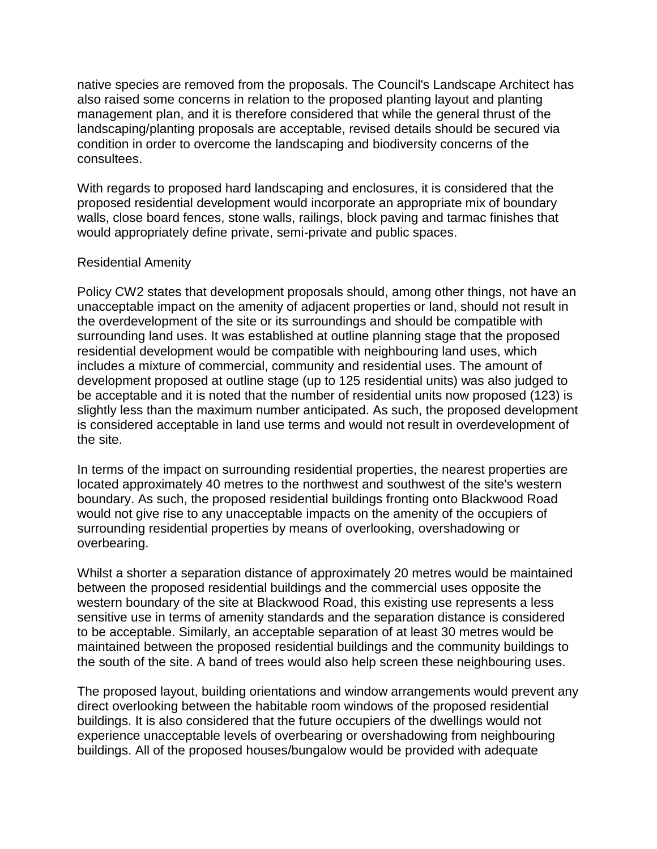native species are removed from the proposals. The Council's Landscape Architect has also raised some concerns in relation to the proposed planting layout and planting management plan, and it is therefore considered that while the general thrust of the landscaping/planting proposals are acceptable, revised details should be secured via condition in order to overcome the landscaping and biodiversity concerns of the consultees.

With regards to proposed hard landscaping and enclosures, it is considered that the proposed residential development would incorporate an appropriate mix of boundary walls, close board fences, stone walls, railings, block paving and tarmac finishes that would appropriately define private, semi-private and public spaces.

# Residential Amenity

Policy CW2 states that development proposals should, among other things, not have an unacceptable impact on the amenity of adjacent properties or land, should not result in the overdevelopment of the site or its surroundings and should be compatible with surrounding land uses. It was established at outline planning stage that the proposed residential development would be compatible with neighbouring land uses, which includes a mixture of commercial, community and residential uses. The amount of development proposed at outline stage (up to 125 residential units) was also judged to be acceptable and it is noted that the number of residential units now proposed (123) is slightly less than the maximum number anticipated. As such, the proposed development is considered acceptable in land use terms and would not result in overdevelopment of the site.

In terms of the impact on surrounding residential properties, the nearest properties are located approximately 40 metres to the northwest and southwest of the site's western boundary. As such, the proposed residential buildings fronting onto Blackwood Road would not give rise to any unacceptable impacts on the amenity of the occupiers of surrounding residential properties by means of overlooking, overshadowing or overbearing.

Whilst a shorter a separation distance of approximately 20 metres would be maintained between the proposed residential buildings and the commercial uses opposite the western boundary of the site at Blackwood Road, this existing use represents a less sensitive use in terms of amenity standards and the separation distance is considered to be acceptable. Similarly, an acceptable separation of at least 30 metres would be maintained between the proposed residential buildings and the community buildings to the south of the site. A band of trees would also help screen these neighbouring uses.

The proposed layout, building orientations and window arrangements would prevent any direct overlooking between the habitable room windows of the proposed residential buildings. It is also considered that the future occupiers of the dwellings would not experience unacceptable levels of overbearing or overshadowing from neighbouring buildings. All of the proposed houses/bungalow would be provided with adequate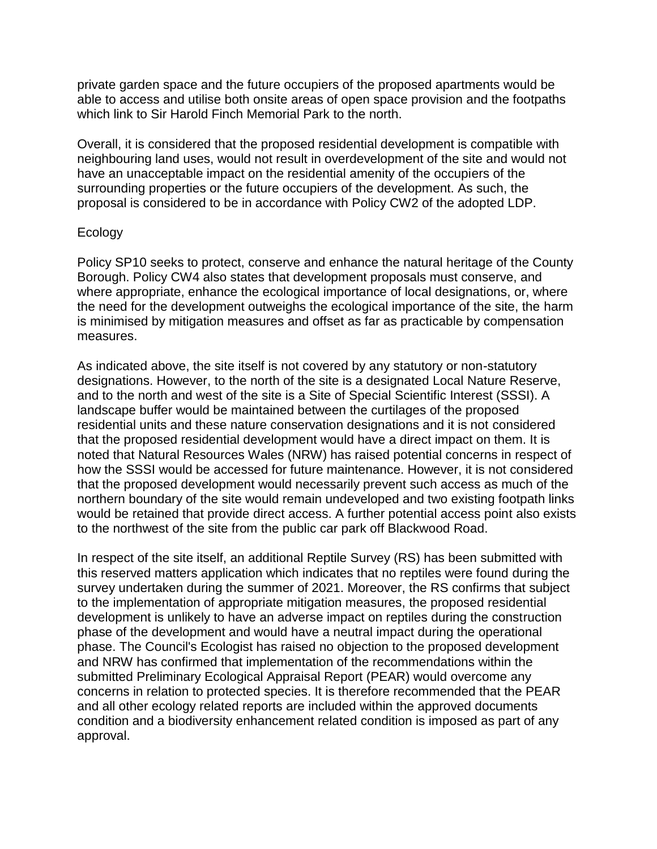private garden space and the future occupiers of the proposed apartments would be able to access and utilise both onsite areas of open space provision and the footpaths which link to Sir Harold Finch Memorial Park to the north.

Overall, it is considered that the proposed residential development is compatible with neighbouring land uses, would not result in overdevelopment of the site and would not have an unacceptable impact on the residential amenity of the occupiers of the surrounding properties or the future occupiers of the development. As such, the proposal is considered to be in accordance with Policy CW2 of the adopted LDP.

### Ecology

Policy SP10 seeks to protect, conserve and enhance the natural heritage of the County Borough. Policy CW4 also states that development proposals must conserve, and where appropriate, enhance the ecological importance of local designations, or, where the need for the development outweighs the ecological importance of the site, the harm is minimised by mitigation measures and offset as far as practicable by compensation measures.

As indicated above, the site itself is not covered by any statutory or non-statutory designations. However, to the north of the site is a designated Local Nature Reserve, and to the north and west of the site is a Site of Special Scientific Interest (SSSI). A landscape buffer would be maintained between the curtilages of the proposed residential units and these nature conservation designations and it is not considered that the proposed residential development would have a direct impact on them. It is noted that Natural Resources Wales (NRW) has raised potential concerns in respect of how the SSSI would be accessed for future maintenance. However, it is not considered that the proposed development would necessarily prevent such access as much of the northern boundary of the site would remain undeveloped and two existing footpath links would be retained that provide direct access. A further potential access point also exists to the northwest of the site from the public car park off Blackwood Road.

In respect of the site itself, an additional Reptile Survey (RS) has been submitted with this reserved matters application which indicates that no reptiles were found during the survey undertaken during the summer of 2021. Moreover, the RS confirms that subject to the implementation of appropriate mitigation measures, the proposed residential development is unlikely to have an adverse impact on reptiles during the construction phase of the development and would have a neutral impact during the operational phase. The Council's Ecologist has raised no objection to the proposed development and NRW has confirmed that implementation of the recommendations within the submitted Preliminary Ecological Appraisal Report (PEAR) would overcome any concerns in relation to protected species. It is therefore recommended that the PEAR and all other ecology related reports are included within the approved documents condition and a biodiversity enhancement related condition is imposed as part of any approval.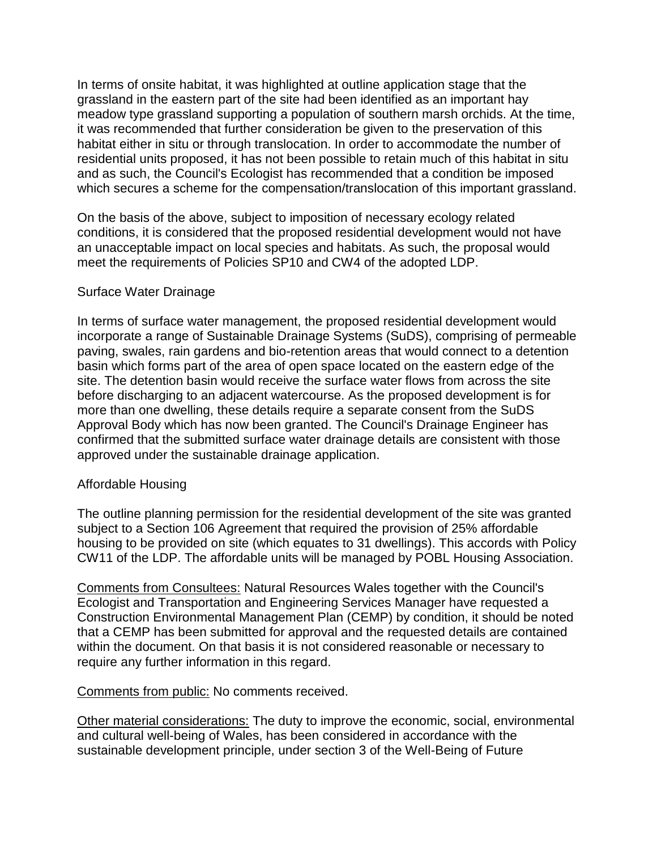In terms of onsite habitat, it was highlighted at outline application stage that the grassland in the eastern part of the site had been identified as an important hay meadow type grassland supporting a population of southern marsh orchids. At the time, it was recommended that further consideration be given to the preservation of this habitat either in situ or through translocation. In order to accommodate the number of residential units proposed, it has not been possible to retain much of this habitat in situ and as such, the Council's Ecologist has recommended that a condition be imposed which secures a scheme for the compensation/translocation of this important grassland.

On the basis of the above, subject to imposition of necessary ecology related conditions, it is considered that the proposed residential development would not have an unacceptable impact on local species and habitats. As such, the proposal would meet the requirements of Policies SP10 and CW4 of the adopted LDP.

### Surface Water Drainage

In terms of surface water management, the proposed residential development would incorporate a range of Sustainable Drainage Systems (SuDS), comprising of permeable paving, swales, rain gardens and bio-retention areas that would connect to a detention basin which forms part of the area of open space located on the eastern edge of the site. The detention basin would receive the surface water flows from across the site before discharging to an adjacent watercourse. As the proposed development is for more than one dwelling, these details require a separate consent from the SuDS Approval Body which has now been granted. The Council's Drainage Engineer has confirmed that the submitted surface water drainage details are consistent with those approved under the sustainable drainage application.

#### Affordable Housing

The outline planning permission for the residential development of the site was granted subject to a Section 106 Agreement that required the provision of 25% affordable housing to be provided on site (which equates to 31 dwellings). This accords with Policy CW11 of the LDP. The affordable units will be managed by POBL Housing Association.

Comments from Consultees: Natural Resources Wales together with the Council's Ecologist and Transportation and Engineering Services Manager have requested a Construction Environmental Management Plan (CEMP) by condition, it should be noted that a CEMP has been submitted for approval and the requested details are contained within the document. On that basis it is not considered reasonable or necessary to require any further information in this regard.

Comments from public: No comments received.

Other material considerations: The duty to improve the economic, social, environmental and cultural well-being of Wales, has been considered in accordance with the sustainable development principle, under section 3 of the Well-Being of Future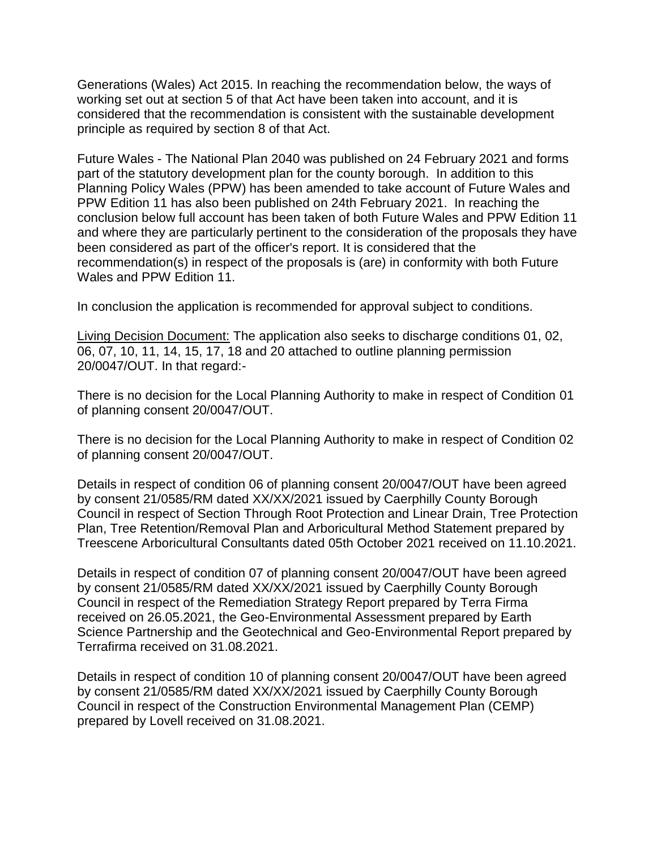Generations (Wales) Act 2015. In reaching the recommendation below, the ways of working set out at section 5 of that Act have been taken into account, and it is considered that the recommendation is consistent with the sustainable development principle as required by section 8 of that Act.

Future Wales - The National Plan 2040 was published on 24 February 2021 and forms part of the statutory development plan for the county borough. In addition to this Planning Policy Wales (PPW) has been amended to take account of Future Wales and PPW Edition 11 has also been published on 24th February 2021. In reaching the conclusion below full account has been taken of both Future Wales and PPW Edition 11 and where they are particularly pertinent to the consideration of the proposals they have been considered as part of the officer's report. It is considered that the recommendation(s) in respect of the proposals is (are) in conformity with both Future Wales and PPW Edition 11.

In conclusion the application is recommended for approval subject to conditions.

Living Decision Document: The application also seeks to discharge conditions 01, 02, 06, 07, 10, 11, 14, 15, 17, 18 and 20 attached to outline planning permission 20/0047/OUT. In that regard:-

There is no decision for the Local Planning Authority to make in respect of Condition 01 of planning consent 20/0047/OUT.

There is no decision for the Local Planning Authority to make in respect of Condition 02 of planning consent 20/0047/OUT.

Details in respect of condition 06 of planning consent 20/0047/OUT have been agreed by consent 21/0585/RM dated XX/XX/2021 issued by Caerphilly County Borough Council in respect of Section Through Root Protection and Linear Drain, Tree Protection Plan, Tree Retention/Removal Plan and Arboricultural Method Statement prepared by Treescene Arboricultural Consultants dated 05th October 2021 received on 11.10.2021.

Details in respect of condition 07 of planning consent 20/0047/OUT have been agreed by consent 21/0585/RM dated XX/XX/2021 issued by Caerphilly County Borough Council in respect of the Remediation Strategy Report prepared by Terra Firma received on 26.05.2021, the Geo-Environmental Assessment prepared by Earth Science Partnership and the Geotechnical and Geo-Environmental Report prepared by Terrafirma received on 31.08.2021.

Details in respect of condition 10 of planning consent 20/0047/OUT have been agreed by consent 21/0585/RM dated XX/XX/2021 issued by Caerphilly County Borough Council in respect of the Construction Environmental Management Plan (CEMP) prepared by Lovell received on 31.08.2021.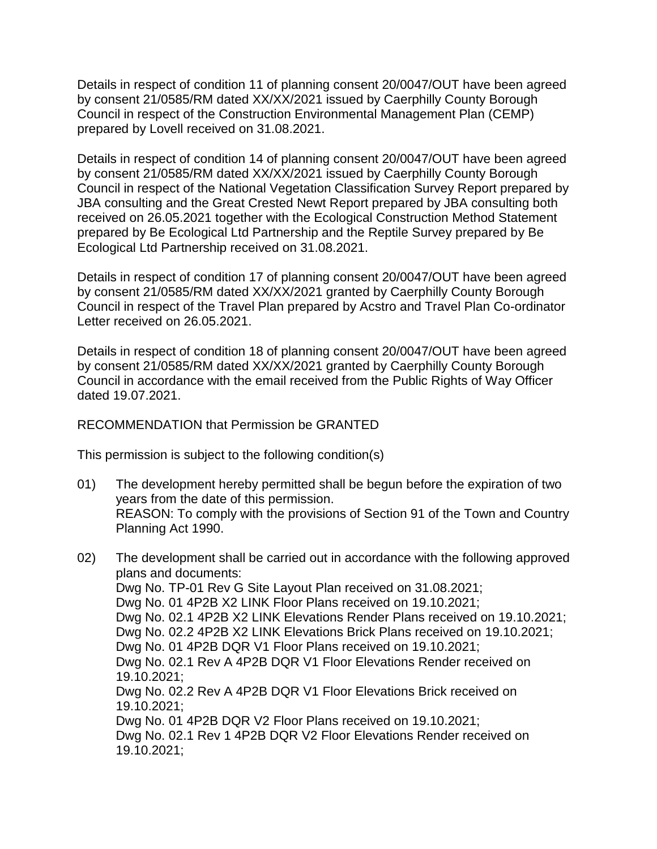Details in respect of condition 11 of planning consent 20/0047/OUT have been agreed by consent 21/0585/RM dated XX/XX/2021 issued by Caerphilly County Borough Council in respect of the Construction Environmental Management Plan (CEMP) prepared by Lovell received on 31.08.2021.

Details in respect of condition 14 of planning consent 20/0047/OUT have been agreed by consent 21/0585/RM dated XX/XX/2021 issued by Caerphilly County Borough Council in respect of the National Vegetation Classification Survey Report prepared by JBA consulting and the Great Crested Newt Report prepared by JBA consulting both received on 26.05.2021 together with the Ecological Construction Method Statement prepared by Be Ecological Ltd Partnership and the Reptile Survey prepared by Be Ecological Ltd Partnership received on 31.08.2021.

Details in respect of condition 17 of planning consent 20/0047/OUT have been agreed by consent 21/0585/RM dated XX/XX/2021 granted by Caerphilly County Borough Council in respect of the Travel Plan prepared by Acstro and Travel Plan Co-ordinator Letter received on 26.05.2021.

Details in respect of condition 18 of planning consent 20/0047/OUT have been agreed by consent 21/0585/RM dated XX/XX/2021 granted by Caerphilly County Borough Council in accordance with the email received from the Public Rights of Way Officer dated 19.07.2021.

### RECOMMENDATION that Permission be GRANTED

This permission is subject to the following condition(s)

- 01) The development hereby permitted shall be begun before the expiration of two years from the date of this permission. REASON: To comply with the provisions of Section 91 of the Town and Country Planning Act 1990.
- 02) The development shall be carried out in accordance with the following approved plans and documents: Dwg No. TP-01 Rev G Site Layout Plan received on 31.08.2021; Dwg No. 01 4P2B X2 LINK Floor Plans received on 19.10.2021; Dwg No. 02.1 4P2B X2 LINK Elevations Render Plans received on 19.10.2021; Dwg No. 02.2 4P2B X2 LINK Elevations Brick Plans received on 19.10.2021; Dwg No. 01 4P2B DQR V1 Floor Plans received on 19.10.2021; Dwg No. 02.1 Rev A 4P2B DQR V1 Floor Elevations Render received on 19.10.2021; Dwg No. 02.2 Rev A 4P2B DQR V1 Floor Elevations Brick received on 19.10.2021; Dwg No. 01 4P2B DQR V2 Floor Plans received on 19.10.2021; Dwg No. 02.1 Rev 1 4P2B DQR V2 Floor Elevations Render received on 19.10.2021;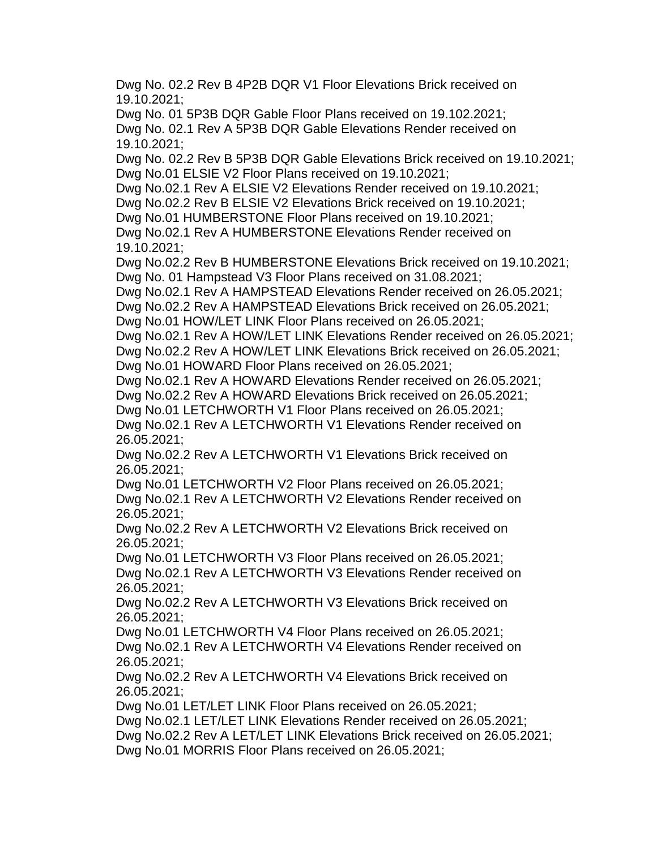Dwg No. 02.2 Rev B 4P2B DQR V1 Floor Elevations Brick received on 19.10.2021;

Dwg No. 01 5P3B DQR Gable Floor Plans received on 19.102.2021; Dwg No. 02.1 Rev A 5P3B DQR Gable Elevations Render received on 19.10.2021;

Dwg No. 02.2 Rev B 5P3B DQR Gable Elevations Brick received on 19.10.2021; Dwg No.01 ELSIE V2 Floor Plans received on 19.10.2021;

Dwg No.02.1 Rev A ELSIE V2 Elevations Render received on 19.10.2021;

Dwg No.02.2 Rev B ELSIE V2 Elevations Brick received on 19.10.2021;

Dwg No.01 HUMBERSTONE Floor Plans received on 19.10.2021;

Dwg No.02.1 Rev A HUMBERSTONE Elevations Render received on 19.10.2021;

Dwg No.02.2 Rev B HUMBERSTONE Elevations Brick received on 19.10.2021; Dwg No. 01 Hampstead V3 Floor Plans received on 31.08.2021;

Dwg No.02.1 Rev A HAMPSTEAD Elevations Render received on 26.05.2021;

Dwg No.02.2 Rev A HAMPSTEAD Elevations Brick received on 26.05.2021; Dwg No.01 HOW/LET LINK Floor Plans received on 26.05.2021;

Dwg No.02.1 Rev A HOW/LET LINK Elevations Render received on 26.05.2021; Dwg No.02.2 Rev A HOW/LET LINK Elevations Brick received on 26.05.2021; Dwg No.01 HOWARD Floor Plans received on 26.05.2021;

Dwg No.02.1 Rev A HOWARD Elevations Render received on 26.05.2021;

Dwg No.02.2 Rev A HOWARD Elevations Brick received on 26.05.2021;

Dwg No.01 LETCHWORTH V1 Floor Plans received on 26.05.2021;

Dwg No.02.1 Rev A LETCHWORTH V1 Elevations Render received on 26.05.2021;

Dwg No.02.2 Rev A LETCHWORTH V1 Elevations Brick received on 26.05.2021;

Dwg No.01 LETCHWORTH V2 Floor Plans received on 26.05.2021; Dwg No.02.1 Rev A LETCHWORTH V2 Elevations Render received on 26.05.2021;

Dwg No.02.2 Rev A LETCHWORTH V2 Elevations Brick received on 26.05.2021;

Dwg No.01 LETCHWORTH V3 Floor Plans received on 26.05.2021; Dwg No.02.1 Rev A LETCHWORTH V3 Elevations Render received on 26.05.2021;

Dwg No.02.2 Rev A LETCHWORTH V3 Elevations Brick received on 26.05.2021;

Dwg No.01 LETCHWORTH V4 Floor Plans received on 26.05.2021; Dwg No.02.1 Rev A LETCHWORTH V4 Elevations Render received on 26.05.2021;

Dwg No.02.2 Rev A LETCHWORTH V4 Elevations Brick received on 26.05.2021;

Dwg No.01 LET/LET LINK Floor Plans received on 26.05.2021;

Dwg No.02.1 LET/LET LINK Elevations Render received on 26.05.2021;

Dwg No.02.2 Rev A LET/LET LINK Elevations Brick received on 26.05.2021;

Dwg No.01 MORRIS Floor Plans received on 26.05.2021;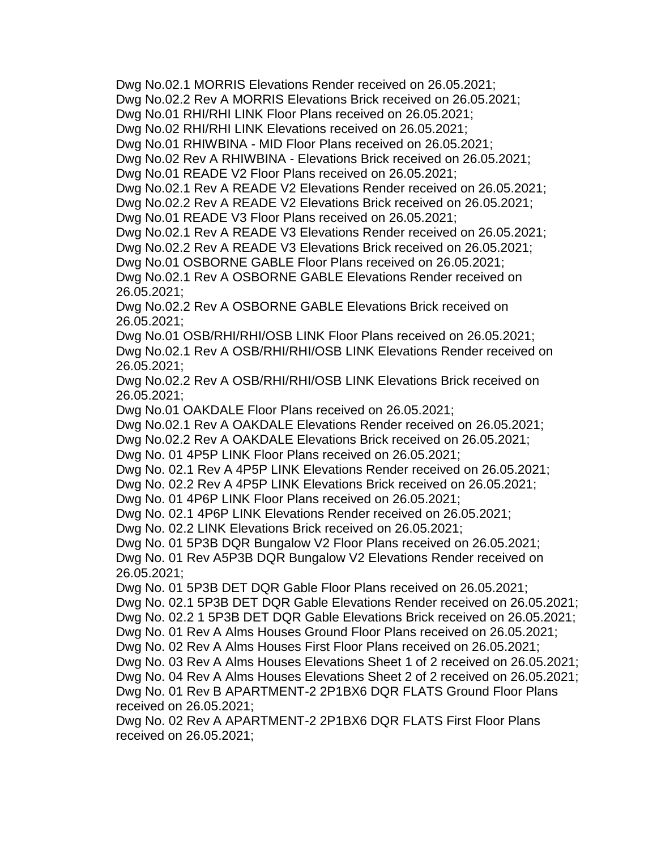Dwg No.02.1 MORRIS Elevations Render received on 26.05.2021;

Dwg No.02.2 Rev A MORRIS Elevations Brick received on 26.05.2021;

Dwg No.01 RHI/RHI LINK Floor Plans received on 26.05.2021;

Dwg No.02 RHI/RHI LINK Elevations received on 26.05.2021;

Dwg No.01 RHIWBINA - MID Floor Plans received on 26.05.2021;

Dwg No.02 Rev A RHIWBINA - Elevations Brick received on 26.05.2021;

Dwg No.01 READE V2 Floor Plans received on 26.05.2021;

Dwg No.02.1 Rev A READE V2 Elevations Render received on 26.05.2021;

Dwg No.02.2 Rev A READE V2 Elevations Brick received on 26.05.2021;

Dwg No.01 READE V3 Floor Plans received on 26.05.2021;

Dwg No.02.1 Rev A READE V3 Elevations Render received on 26.05.2021;

Dwg No.02.2 Rev A READE V3 Elevations Brick received on 26.05.2021; Dwg No.01 OSBORNE GABLE Floor Plans received on 26.05.2021;

Dwg No.02.1 Rev A OSBORNE GABLE Elevations Render received on 26.05.2021;

Dwg No.02.2 Rev A OSBORNE GABLE Elevations Brick received on 26.05.2021;

Dwg No.01 OSB/RHI/RHI/OSB LINK Floor Plans received on 26.05.2021; Dwg No.02.1 Rev A OSB/RHI/RHI/OSB LINK Elevations Render received on 26.05.2021;

Dwg No.02.2 Rev A OSB/RHI/RHI/OSB LINK Elevations Brick received on 26.05.2021;

Dwg No.01 OAKDALE Floor Plans received on 26.05.2021;

Dwg No.02.1 Rev A OAKDALE Elevations Render received on 26.05.2021;

Dwg No.02.2 Rev A OAKDALE Elevations Brick received on 26.05.2021;

Dwg No. 01 4P5P LINK Floor Plans received on 26.05.2021;

Dwg No. 02.1 Rev A 4P5P LINK Elevations Render received on 26.05.2021;

Dwg No. 02.2 Rev A 4P5P LINK Elevations Brick received on 26.05.2021;

Dwg No. 01 4P6P LINK Floor Plans received on 26.05.2021;

Dwg No. 02.1 4P6P LINK Elevations Render received on 26.05.2021;

Dwg No. 02.2 LINK Elevations Brick received on 26.05.2021;

Dwg No. 01 5P3B DQR Bungalow V2 Floor Plans received on 26.05.2021; Dwg No. 01 Rev A5P3B DQR Bungalow V2 Elevations Render received on 26.05.2021;

Dwg No. 01 5P3B DET DQR Gable Floor Plans received on 26.05.2021;

Dwg No. 02.1 5P3B DET DQR Gable Elevations Render received on 26.05.2021;

Dwg No. 02.2 1 5P3B DET DQR Gable Elevations Brick received on 26.05.2021;

Dwg No. 01 Rev A Alms Houses Ground Floor Plans received on 26.05.2021;

Dwg No. 02 Rev A Alms Houses First Floor Plans received on 26.05.2021;

Dwg No. 03 Rev A Alms Houses Elevations Sheet 1 of 2 received on 26.05.2021;

Dwg No. 04 Rev A Alms Houses Elevations Sheet 2 of 2 received on 26.05.2021;

Dwg No. 01 Rev B APARTMENT-2 2P1BX6 DQR FLATS Ground Floor Plans received on 26.05.2021;

Dwg No. 02 Rev A APARTMENT-2 2P1BX6 DQR FLATS First Floor Plans received on 26.05.2021;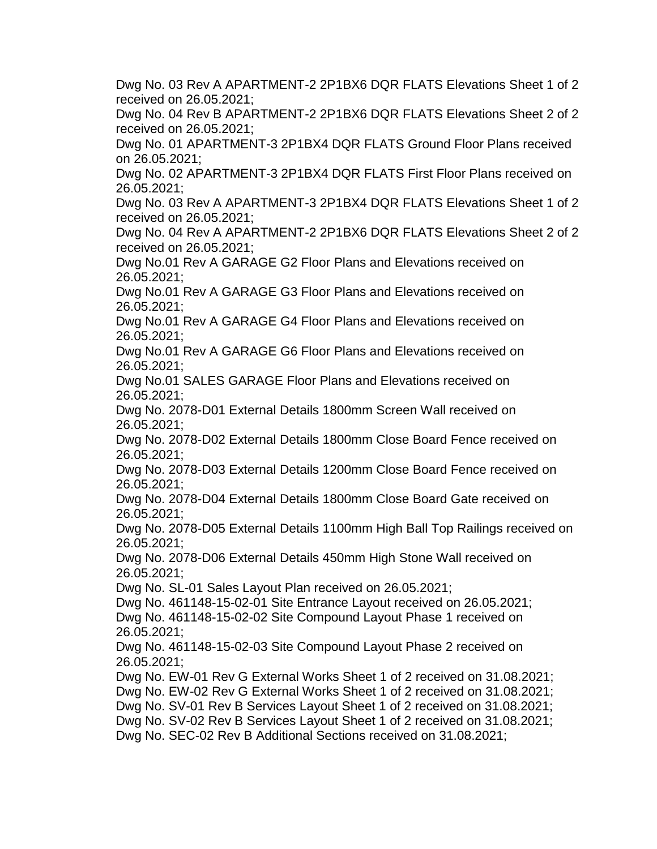Dwg No. 03 Rev A APARTMENT-2 2P1BX6 DQR FLATS Elevations Sheet 1 of 2 received on 26.05.2021;

Dwg No. 04 Rev B APARTMENT-2 2P1BX6 DQR FLATS Elevations Sheet 2 of 2 received on 26.05.2021;

Dwg No. 01 APARTMENT-3 2P1BX4 DQR FLATS Ground Floor Plans received on 26.05.2021;

Dwg No. 02 APARTMENT-3 2P1BX4 DQR FLATS First Floor Plans received on 26.05.2021;

Dwg No. 03 Rev A APARTMENT-3 2P1BX4 DQR FLATS Elevations Sheet 1 of 2 received on 26.05.2021;

Dwg No. 04 Rev A APARTMENT-2 2P1BX6 DQR FLATS Elevations Sheet 2 of 2 received on 26.05.2021;

Dwg No.01 Rev A GARAGE G2 Floor Plans and Elevations received on 26.05.2021;

Dwg No.01 Rev A GARAGE G3 Floor Plans and Elevations received on 26.05.2021;

Dwg No.01 Rev A GARAGE G4 Floor Plans and Elevations received on 26.05.2021;

Dwg No.01 Rev A GARAGE G6 Floor Plans and Elevations received on 26.05.2021;

Dwg No.01 SALES GARAGE Floor Plans and Elevations received on 26.05.2021;

Dwg No. 2078-D01 External Details 1800mm Screen Wall received on 26.05.2021;

Dwg No. 2078-D02 External Details 1800mm Close Board Fence received on 26.05.2021;

Dwg No. 2078-D03 External Details 1200mm Close Board Fence received on 26.05.2021;

Dwg No. 2078-D04 External Details 1800mm Close Board Gate received on 26.05.2021;

Dwg No. 2078-D05 External Details 1100mm High Ball Top Railings received on 26.05.2021;

Dwg No. 2078-D06 External Details 450mm High Stone Wall received on 26.05.2021;

Dwg No. SL-01 Sales Layout Plan received on 26.05.2021;

Dwg No. 461148-15-02-01 Site Entrance Layout received on 26.05.2021; Dwg No. 461148-15-02-02 Site Compound Layout Phase 1 received on 26.05.2021;

Dwg No. 461148-15-02-03 Site Compound Layout Phase 2 received on 26.05.2021;

Dwg No. EW-01 Rev G External Works Sheet 1 of 2 received on 31.08.2021; Dwg No. EW-02 Rev G External Works Sheet 1 of 2 received on 31.08.2021; Dwg No. SV-01 Rev B Services Layout Sheet 1 of 2 received on 31.08.2021; Dwg No. SV-02 Rev B Services Layout Sheet 1 of 2 received on 31.08.2021;

Dwg No. SEC-02 Rev B Additional Sections received on 31.08.2021;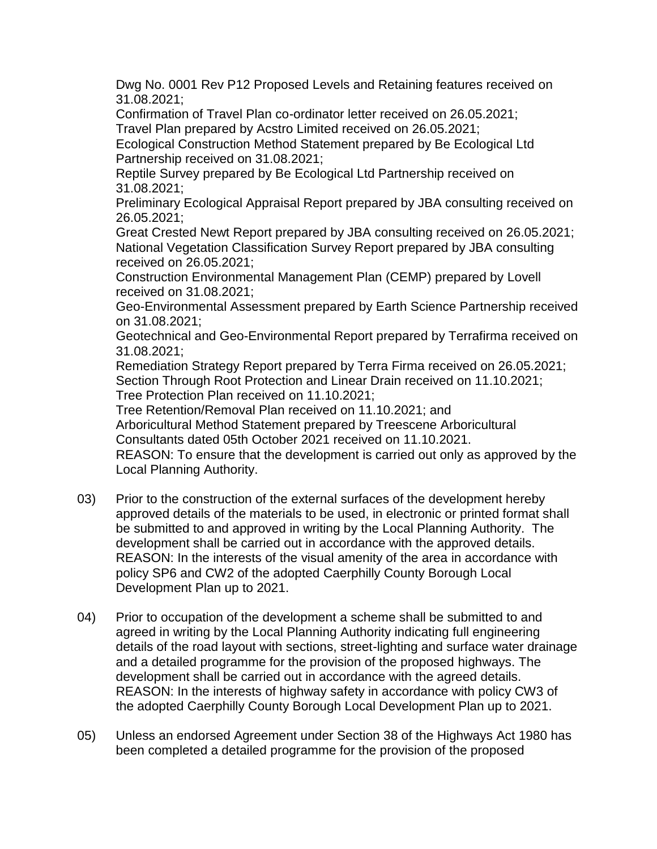Dwg No. 0001 Rev P12 Proposed Levels and Retaining features received on 31.08.2021;

Confirmation of Travel Plan co-ordinator letter received on 26.05.2021; Travel Plan prepared by Acstro Limited received on 26.05.2021;

Ecological Construction Method Statement prepared by Be Ecological Ltd Partnership received on 31.08.2021;

Reptile Survey prepared by Be Ecological Ltd Partnership received on 31.08.2021;

Preliminary Ecological Appraisal Report prepared by JBA consulting received on 26.05.2021;

Great Crested Newt Report prepared by JBA consulting received on 26.05.2021; National Vegetation Classification Survey Report prepared by JBA consulting received on 26.05.2021;

Construction Environmental Management Plan (CEMP) prepared by Lovell received on 31.08.2021;

Geo-Environmental Assessment prepared by Earth Science Partnership received on 31.08.2021;

Geotechnical and Geo-Environmental Report prepared by Terrafirma received on 31.08.2021;

Remediation Strategy Report prepared by Terra Firma received on 26.05.2021; Section Through Root Protection and Linear Drain received on 11.10.2021; Tree Protection Plan received on 11.10.2021;

Tree Retention/Removal Plan received on 11.10.2021; and

Arboricultural Method Statement prepared by Treescene Arboricultural Consultants dated 05th October 2021 received on 11.10.2021.

REASON: To ensure that the development is carried out only as approved by the Local Planning Authority.

- 03) Prior to the construction of the external surfaces of the development hereby approved details of the materials to be used, in electronic or printed format shall be submitted to and approved in writing by the Local Planning Authority. The development shall be carried out in accordance with the approved details. REASON: In the interests of the visual amenity of the area in accordance with policy SP6 and CW2 of the adopted Caerphilly County Borough Local Development Plan up to 2021.
- 04) Prior to occupation of the development a scheme shall be submitted to and agreed in writing by the Local Planning Authority indicating full engineering details of the road layout with sections, street-lighting and surface water drainage and a detailed programme for the provision of the proposed highways. The development shall be carried out in accordance with the agreed details. REASON: In the interests of highway safety in accordance with policy CW3 of the adopted Caerphilly County Borough Local Development Plan up to 2021.
- 05) Unless an endorsed Agreement under Section 38 of the Highways Act 1980 has been completed a detailed programme for the provision of the proposed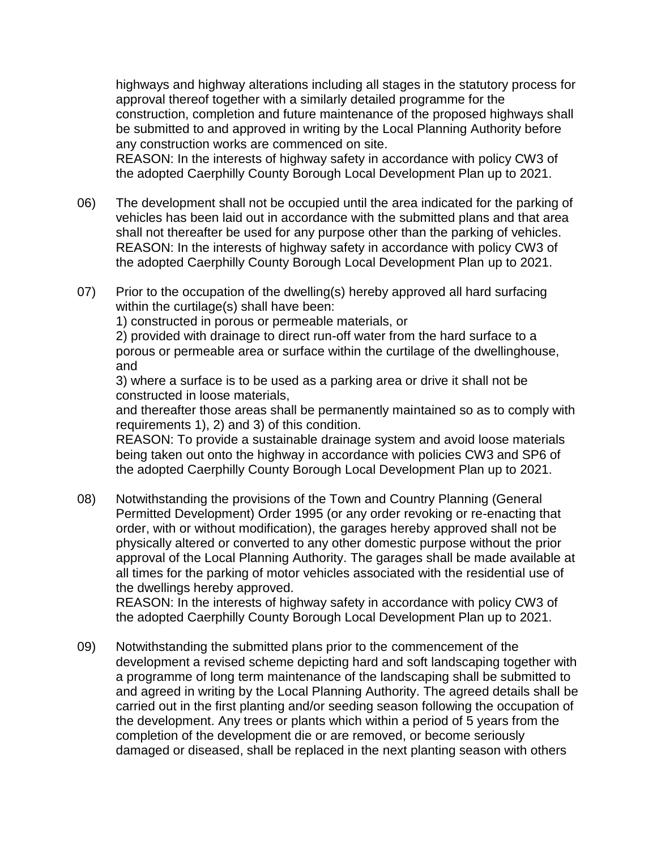highways and highway alterations including all stages in the statutory process for approval thereof together with a similarly detailed programme for the construction, completion and future maintenance of the proposed highways shall be submitted to and approved in writing by the Local Planning Authority before any construction works are commenced on site.

REASON: In the interests of highway safety in accordance with policy CW3 of the adopted Caerphilly County Borough Local Development Plan up to 2021.

- 06) The development shall not be occupied until the area indicated for the parking of vehicles has been laid out in accordance with the submitted plans and that area shall not thereafter be used for any purpose other than the parking of vehicles. REASON: In the interests of highway safety in accordance with policy CW3 of the adopted Caerphilly County Borough Local Development Plan up to 2021.
- 07) Prior to the occupation of the dwelling(s) hereby approved all hard surfacing within the curtilage(s) shall have been:

1) constructed in porous or permeable materials, or

2) provided with drainage to direct run-off water from the hard surface to a porous or permeable area or surface within the curtilage of the dwellinghouse, and

3) where a surface is to be used as a parking area or drive it shall not be constructed in loose materials,

and thereafter those areas shall be permanently maintained so as to comply with requirements 1), 2) and 3) of this condition.

REASON: To provide a sustainable drainage system and avoid loose materials being taken out onto the highway in accordance with policies CW3 and SP6 of the adopted Caerphilly County Borough Local Development Plan up to 2021.

08) Notwithstanding the provisions of the Town and Country Planning (General Permitted Development) Order 1995 (or any order revoking or re-enacting that order, with or without modification), the garages hereby approved shall not be physically altered or converted to any other domestic purpose without the prior approval of the Local Planning Authority. The garages shall be made available at all times for the parking of motor vehicles associated with the residential use of the dwellings hereby approved.

REASON: In the interests of highway safety in accordance with policy CW3 of the adopted Caerphilly County Borough Local Development Plan up to 2021.

09) Notwithstanding the submitted plans prior to the commencement of the development a revised scheme depicting hard and soft landscaping together with a programme of long term maintenance of the landscaping shall be submitted to and agreed in writing by the Local Planning Authority. The agreed details shall be carried out in the first planting and/or seeding season following the occupation of the development. Any trees or plants which within a period of 5 years from the completion of the development die or are removed, or become seriously damaged or diseased, shall be replaced in the next planting season with others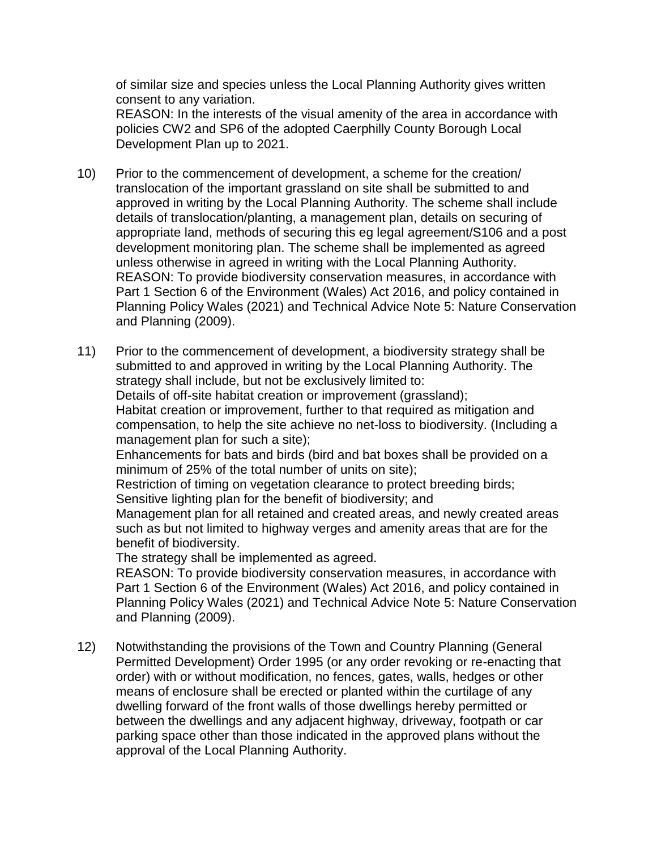of similar size and species unless the Local Planning Authority gives written consent to any variation.

REASON: In the interests of the visual amenity of the area in accordance with policies CW2 and SP6 of the adopted Caerphilly County Borough Local Development Plan up to 2021.

- 10) Prior to the commencement of development, a scheme for the creation/ translocation of the important grassland on site shall be submitted to and approved in writing by the Local Planning Authority. The scheme shall include details of translocation/planting, a management plan, details on securing of appropriate land, methods of securing this eg legal agreement/S106 and a post development monitoring plan. The scheme shall be implemented as agreed unless otherwise in agreed in writing with the Local Planning Authority. REASON: To provide biodiversity conservation measures, in accordance with Part 1 Section 6 of the Environment (Wales) Act 2016, and policy contained in Planning Policy Wales (2021) and Technical Advice Note 5: Nature Conservation and Planning (2009).
- 11) Prior to the commencement of development, a biodiversity strategy shall be submitted to and approved in writing by the Local Planning Authority. The strategy shall include, but not be exclusively limited to: Details of off-site habitat creation or improvement (grassland); Habitat creation or improvement, further to that required as mitigation and compensation, to help the site achieve no net-loss to biodiversity. (Including a management plan for such a site); Enhancements for bats and birds (bird and bat boxes shall be provided on a minimum of 25% of the total number of units on site); Restriction of timing on vegetation clearance to protect breeding birds; Sensitive lighting plan for the benefit of biodiversity; and Management plan for all retained and created areas, and newly created areas such as but not limited to highway verges and amenity areas that are for the benefit of biodiversity. The strategy shall be implemented as agreed. REASON: To provide biodiversity conservation measures, in accordance with Part 1 Section 6 of the Environment (Wales) Act 2016, and policy contained in Planning Policy Wales (2021) and Technical Advice Note 5: Nature Conservation and Planning (2009).
- 12) Notwithstanding the provisions of the Town and Country Planning (General Permitted Development) Order 1995 (or any order revoking or re-enacting that order) with or without modification, no fences, gates, walls, hedges or other means of enclosure shall be erected or planted within the curtilage of any dwelling forward of the front walls of those dwellings hereby permitted or between the dwellings and any adjacent highway, driveway, footpath or car parking space other than those indicated in the approved plans without the approval of the Local Planning Authority.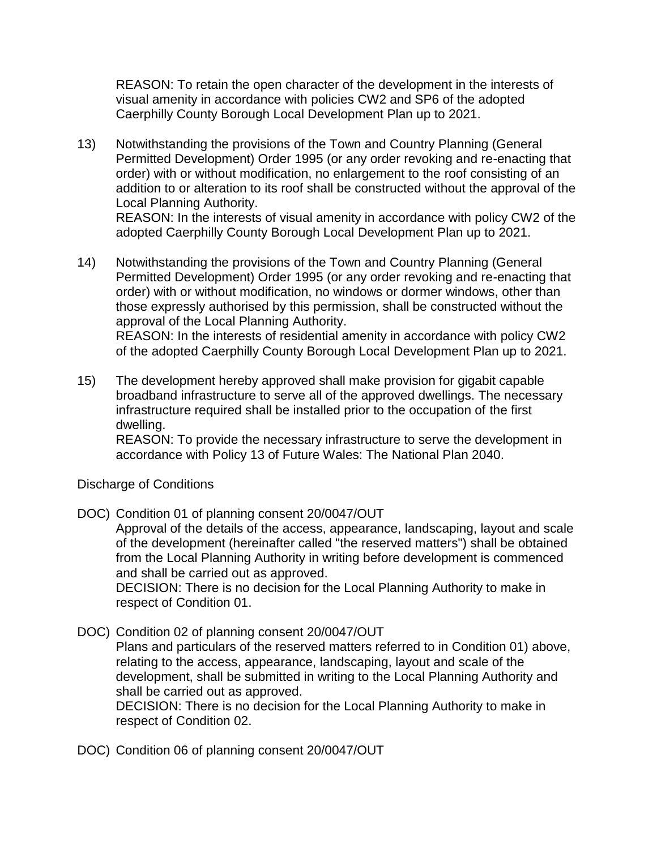REASON: To retain the open character of the development in the interests of visual amenity in accordance with policies CW2 and SP6 of the adopted Caerphilly County Borough Local Development Plan up to 2021.

13) Notwithstanding the provisions of the Town and Country Planning (General Permitted Development) Order 1995 (or any order revoking and re-enacting that order) with or without modification, no enlargement to the roof consisting of an addition to or alteration to its roof shall be constructed without the approval of the Local Planning Authority.

REASON: In the interests of visual amenity in accordance with policy CW2 of the adopted Caerphilly County Borough Local Development Plan up to 2021.

- 14) Notwithstanding the provisions of the Town and Country Planning (General Permitted Development) Order 1995 (or any order revoking and re-enacting that order) with or without modification, no windows or dormer windows, other than those expressly authorised by this permission, shall be constructed without the approval of the Local Planning Authority. REASON: In the interests of residential amenity in accordance with policy CW2 of the adopted Caerphilly County Borough Local Development Plan up to 2021.
- 15) The development hereby approved shall make provision for gigabit capable broadband infrastructure to serve all of the approved dwellings. The necessary infrastructure required shall be installed prior to the occupation of the first dwelling.

REASON: To provide the necessary infrastructure to serve the development in accordance with Policy 13 of Future Wales: The National Plan 2040.

Discharge of Conditions

DOC) Condition 01 of planning consent 20/0047/OUT

Approval of the details of the access, appearance, landscaping, layout and scale of the development (hereinafter called "the reserved matters") shall be obtained from the Local Planning Authority in writing before development is commenced and shall be carried out as approved.

DECISION: There is no decision for the Local Planning Authority to make in respect of Condition 01.

DOC) Condition 02 of planning consent 20/0047/OUT

Plans and particulars of the reserved matters referred to in Condition 01) above, relating to the access, appearance, landscaping, layout and scale of the development, shall be submitted in writing to the Local Planning Authority and shall be carried out as approved.

DECISION: There is no decision for the Local Planning Authority to make in respect of Condition 02.

DOC) Condition 06 of planning consent 20/0047/OUT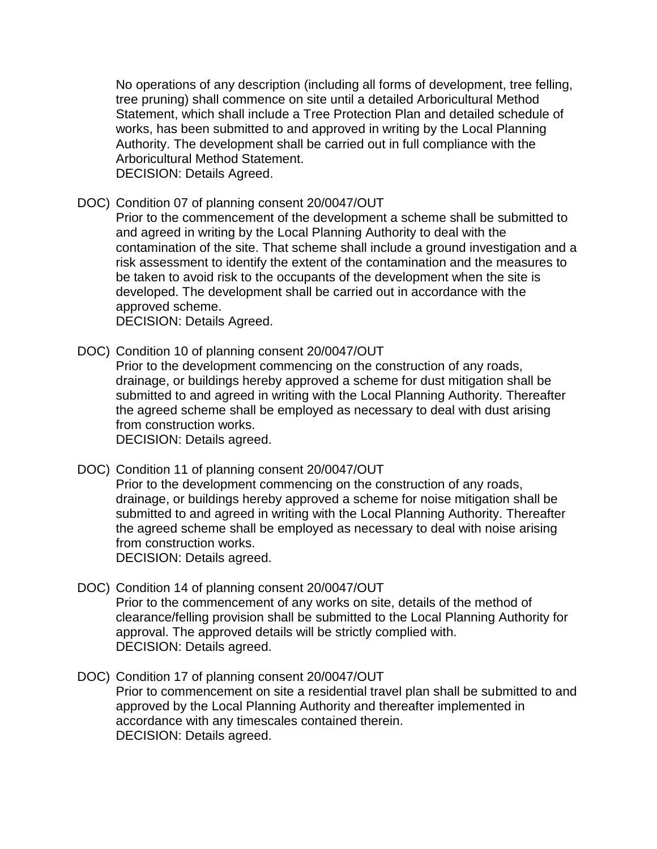No operations of any description (including all forms of development, tree felling, tree pruning) shall commence on site until a detailed Arboricultural Method Statement, which shall include a Tree Protection Plan and detailed schedule of works, has been submitted to and approved in writing by the Local Planning Authority. The development shall be carried out in full compliance with the Arboricultural Method Statement. DECISION: Details Agreed.

DOC) Condition 07 of planning consent 20/0047/OUT

Prior to the commencement of the development a scheme shall be submitted to and agreed in writing by the Local Planning Authority to deal with the contamination of the site. That scheme shall include a ground investigation and a risk assessment to identify the extent of the contamination and the measures to be taken to avoid risk to the occupants of the development when the site is developed. The development shall be carried out in accordance with the approved scheme.

DECISION: Details Agreed.

DOC) Condition 10 of planning consent 20/0047/OUT

Prior to the development commencing on the construction of any roads, drainage, or buildings hereby approved a scheme for dust mitigation shall be submitted to and agreed in writing with the Local Planning Authority. Thereafter the agreed scheme shall be employed as necessary to deal with dust arising from construction works.

DECISION: Details agreed.

DOC) Condition 11 of planning consent 20/0047/OUT

Prior to the development commencing on the construction of any roads, drainage, or buildings hereby approved a scheme for noise mitigation shall be submitted to and agreed in writing with the Local Planning Authority. Thereafter the agreed scheme shall be employed as necessary to deal with noise arising from construction works.

DECISION: Details agreed.

- DOC) Condition 14 of planning consent 20/0047/OUT Prior to the commencement of any works on site, details of the method of clearance/felling provision shall be submitted to the Local Planning Authority for approval. The approved details will be strictly complied with.
	- DECISION: Details agreed.
- DOC) Condition 17 of planning consent 20/0047/OUT Prior to commencement on site a residential travel plan shall be submitted to and approved by the Local Planning Authority and thereafter implemented in accordance with any timescales contained therein. DECISION: Details agreed.